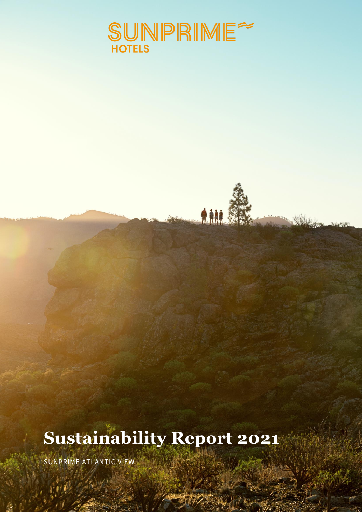

鬼触

# **Sustainability Report 2021**

SUNPRIME ATLANTIC VIEW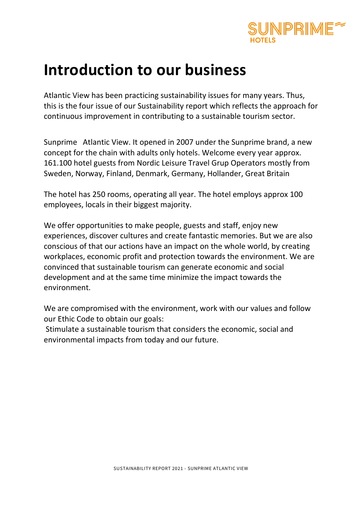

## **Introduction to our business**

Atlantic View has been practicing sustainability issues for many years. Thus, this is the four issue of our Sustainability report which reflects the approach for continuous improvement in contributing to a sustainable tourism sector.

Sunprime Atlantic View. It opened in 2007 under the Sunprime brand, a new concept for the chain with adults only hotels. Welcome every year approx. 161.100 hotel guests from Nordic Leisure Travel Grup Operators mostly from Sweden, Norway, Finland, Denmark, Germany, Hollander, Great Britain

The hotel has 250 rooms, operating all year. The hotel employs approx 100 employees, locals in their biggest majority.

We offer opportunities to make people, guests and staff, enjoy new experiences, discover cultures and create fantastic memories. But we are also conscious of that our actions have an impact on the whole world, by creating workplaces, economic profit and protection towards the environment. We are convinced that sustainable tourism can generate economic and social development and at the same time minimize the impact towards the environment.

We are compromised with the environment, work with our values and follow our Ethic Code to obtain our goals:

Stimulate a sustainable tourism that considers the economic, social and environmental impacts from today and our future.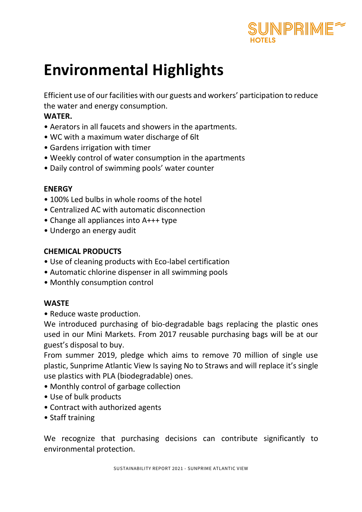

# **Environmental Highlights**

Efficient use of our facilities with our guests and workers' participation to reduce the water and energy consumption.

## **WATER.**

- Aerators in all faucets and showers in the apartments.
- WC with a maximum water discharge of 6lt
- Gardens irrigation with timer
- Weekly control of water consumption in the apartments
- Daily control of swimming pools' water counter

## **ENERGY**

- 100% Led bulbs in whole rooms of the hotel
- Centralized AC with automatic disconnection
- Change all appliances into A+++ type
- Undergo an energy audit

## **CHEMICAL PRODUCTS**

- Use of cleaning products with Eco-label certification
- Automatic chlorine dispenser in all swimming pools
- Monthly consumption control

## **WASTE**

• Reduce waste production.

We introduced purchasing of bio-degradable bags replacing the plastic ones used in our Mini Markets. From 2017 reusable purchasing bags will be at our guest's disposal to buy.

From summer 2019, pledge which aims to remove 70 million of single use plastic, Sunprime Atlantic View Is saying No to Straws and will replace it's single use plastics with PLA (biodegradable) ones.

- Monthly control of garbage collection
- Use of bulk products
- Contract with authorized agents
- Staff training

We recognize that purchasing decisions can contribute significantly to environmental protection.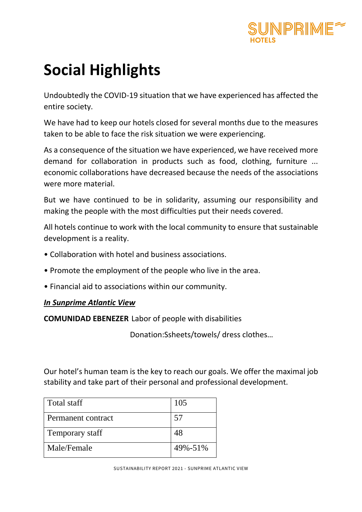

# **Social Highlights**

Undoubtedly the COVID-19 situation that we have experienced has affected the entire society.

We have had to keep our hotels closed for several months due to the measures taken to be able to face the risk situation we were experiencing.

As a consequence of the situation we have experienced, we have received more demand for collaboration in products such as food, clothing, furniture ... economic collaborations have decreased because the needs of the associations were more material.

But we have continued to be in solidarity, assuming our responsibility and making the people with the most difficulties put their needs covered.

All hotels continue to work with the local community to ensure that sustainable development is a reality.

- Collaboration with hotel and business associations.
- Promote the employment of the people who live in the area.
- Financial aid to associations within our community.

#### *In Sunprime Atlantic View*

**COMUNIDAD EBENEZER** Labor of people with disabilities

Donation:Ssheets/towels/ dress clothes…

Our hotel's human team is the key to reach our goals. We offer the maximal job stability and take part of their personal and professional development.

| Total staff        | 105     |
|--------------------|---------|
| Permanent contract | 57      |
| Temporary staff    | 48      |
| Male/Female        | 49%-51% |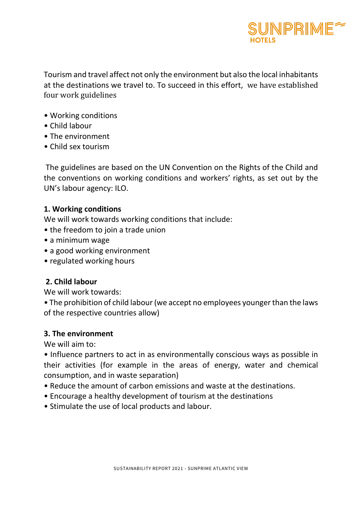

Tourism and travel affect not only the environment but also the local inhabitants at the destinations we travel to. To succeed in this effort, we have established four work guidelines

- Working conditions
- Child labour
- The environment
- Child sex tourism

The guidelines are based on the UN Convention on the Rights of the Child and the conventions on working conditions and workers' rights, as set out by the UN's labour agency: ILO.

#### **1. Working conditions**

We will work towards working conditions that include:

- the freedom to join a trade union
- a minimum wage
- a good working environment
- regulated working hours

## **2. Child labour**

We will work towards:

• The prohibition of child labour (we accept no employees younger than the laws of the respective countries allow)

## **3. The environment**

We will aim to:

• Influence partners to act in as environmentally conscious ways as possible in their activities (for example in the areas of energy, water and chemical consumption, and in waste separation)

- Reduce the amount of carbon emissions and waste at the destinations.
- Encourage a healthy development of tourism at the destinations
- Stimulate the use of local products and labour.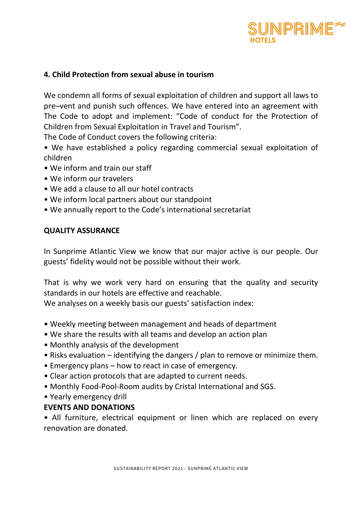

### **4. Child Protection from sexual abuse in tourism**

We condemn all forms of sexual exploitation of children and support all laws to pre¬vent and punish such offences. We have entered into an agreement with The Code to adopt and implement: "Code of conduct for the Protection of Children from Sexual Exploitation in Travel and Tourism".

The Code of Conduct covers the following criteria:

• We have established a policy regarding commercial sexual exploitation of children

- We inform and train our staff
- We inform our travelers
- We add a clause to all our hotel contracts
- We inform local partners about our standpoint
- We annually report to the Code's international secretariat

#### **QUALITY ASSURANCE**

In Sunprime Atlantic View we know that our major active is our people. Our guests' fidelity would not be possible without their work.

That is why we work very hard on ensuring that the quality and security standards in our hotels are effective and reachable.

We analyses on a weekly basis our guests' satisfaction index:

- Weekly meeting between management and heads of department
- We share the results with all teams and develop an action plan
- Monthly analysis of the development
- Risks evaluation identifying the dangers / plan to remove or minimize them.
- Emergency plans how to react in case of emergency.
- Clear action protocols that are adapted to current needs.
- Monthly Food-Pool-Room audits by Cristal International and SGS.
- Yearly emergency drill

## **EVENTS AND DONATIONS**

• All furniture, electrical equipment or linen which are replaced on every renovation are donated.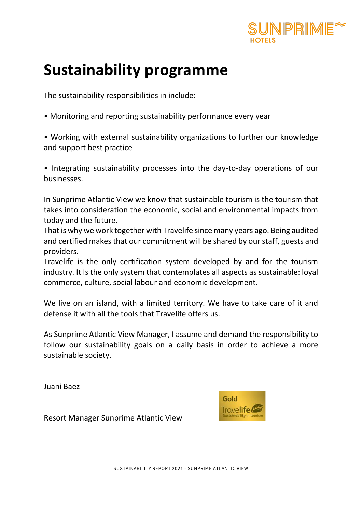

# **Sustainability programme**

The sustainability responsibilities in include:

• Monitoring and reporting sustainability performance every year

• Working with external sustainability organizations to further our knowledge and support best practice

• Integrating sustainability processes into the day-to-day operations of our businesses.

In Sunprime Atlantic View we know that sustainable tourism is the tourism that takes into consideration the economic, social and environmental impacts from today and the future.

That is why we work together with Travelife since many years ago. Being audited and certified makes that our commitment will be shared by our staff, guests and providers.

Travelife is the only certification system developed by and for the tourism industry. It Is the only system that contemplates all aspects as sustainable: loyal commerce, culture, social labour and economic development.

We live on an island, with a limited territory. We have to take care of it and defense it with all the tools that Travelife offers us.

As Sunprime Atlantic View Manager, I assume and demand the responsibility to follow our sustainability goals on a daily basis in order to achieve a more sustainable society.

Juani Baez



Resort Manager Sunprime Atlantic View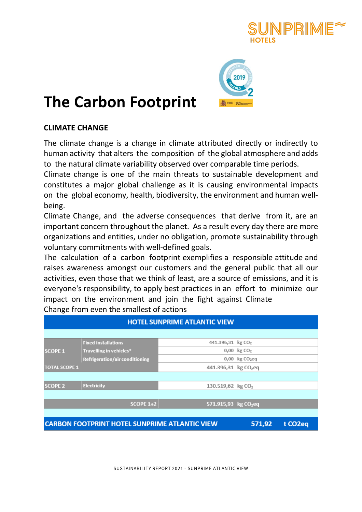



# **The Carbon Footprint**

## **CLIMATE CHANGE**

The climate change is a change in climate attributed directly or indirectly to human activity that alters the composition of the global atmosphere and adds to the natural climate variability observed over comparable time periods.

Climate change is one of the main threats to sustainable development and constitutes a major global challenge as it is causing environmental impacts on the global economy, health, biodiversity, the environment and human well‐ being.

Climate Change, and the adverse consequences that derive from it, are an important concern throughout the planet. As a result every day there are more organizations and entities, under no obligation, promote sustainability through voluntary commitments with well‐defined goals.

The calculation of a carbon footprint exemplifies a responsible attitude and raises awareness amongst our customers and the general public that all our activities, even those that we think of least, are a source of emissions, and it is everyone's responsibility, to apply best practices in an effort to minimize our impact on the environment and join the fight against Climate Change from even the smallest of actions

| <b>HOTEL SUNPRIME ATLANTIC VIEW</b> |                                                                                        |                                  |                                    |  |
|-------------------------------------|----------------------------------------------------------------------------------------|----------------------------------|------------------------------------|--|
|                                     |                                                                                        |                                  |                                    |  |
|                                     | <b>Fixed installations</b>                                                             | 441.396,31 kg CO <sub>2</sub>    |                                    |  |
| <b>SCOPE 1</b>                      | Travelling in vehicles*                                                                |                                  | $0,00 \; \text{kg} \; \text{CO}_2$ |  |
|                                     | <b>Refrigeration/air conditioning</b>                                                  |                                  | $0,00$ kg $CO2$ eq                 |  |
| <b>TOTAL SCOPE 1</b>                |                                                                                        | 441.396,31 kg CO <sub>2</sub> eq |                                    |  |
|                                     |                                                                                        |                                  |                                    |  |
| <b>SCOPE 2</b>                      | <b>Electricity</b>                                                                     | 130.519,62 kg CO <sub>2</sub>    |                                    |  |
|                                     |                                                                                        |                                  |                                    |  |
|                                     | <b>SCOPE 1+2</b>                                                                       | 571.915,93 kg CO <sub>2</sub> eq |                                    |  |
|                                     |                                                                                        |                                  |                                    |  |
|                                     | <b>CARBON FOOTPRINT HOTEL SUNPRIME ATLANTIC VIEW</b><br>571,92<br>t CO <sub>2</sub> eq |                                  |                                    |  |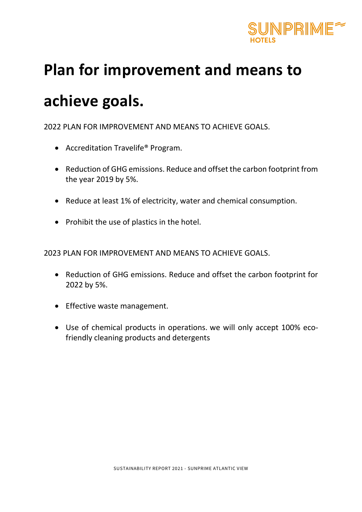

# **Plan for improvement and means to**

# **achieve goals.**

2022 PLAN FOR IMPROVEMENT AND MEANS TO ACHIEVE GOALS.

- Accreditation Travelife® Program.
- Reduction of GHG emissions. Reduce and offset the carbon footprint from the year 2019 by 5%.
- Reduce at least 1% of electricity, water and chemical consumption.
- Prohibit the use of plastics in the hotel.

2023 PLAN FOR IMPROVEMENT AND MEANS TO ACHIEVE GOALS.

- Reduction of GHG emissions. Reduce and offset the carbon footprint for 2022 by 5%.
- Effective waste management.
- Use of chemical products in operations. we will only accept 100% eco‐ friendly cleaning products and detergents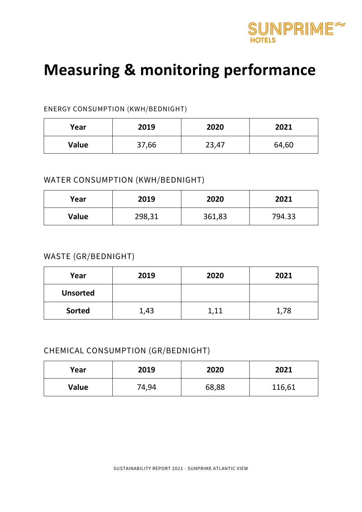

# **Measuring & monitoring performance**

#### ENERGY CONSUMPTION (KWH/BEDNIGHT)

| Year  | 2019  | 2020  | 2021  |
|-------|-------|-------|-------|
| Value | 37,66 | 23,47 | 64,60 |

## WATER CONSUMPTION (KWH/BEDNIGHT)

| Year  | 2019   | 2020   | 2021   |
|-------|--------|--------|--------|
| Value | 298,31 | 361,83 | 794.33 |

## WASTE (GR/BEDNIGHT)

| Year            | 2019 | 2020 | 2021 |
|-----------------|------|------|------|
| <b>Unsorted</b> |      |      |      |
| <b>Sorted</b>   | 1,43 | 1,11 | 1,78 |

## CHEMICAL CONSUMPTION (GR/BEDNIGHT)

| Year  | 2019  | 2020  | 2021   |
|-------|-------|-------|--------|
| Value | 74,94 | 68,88 | 116,61 |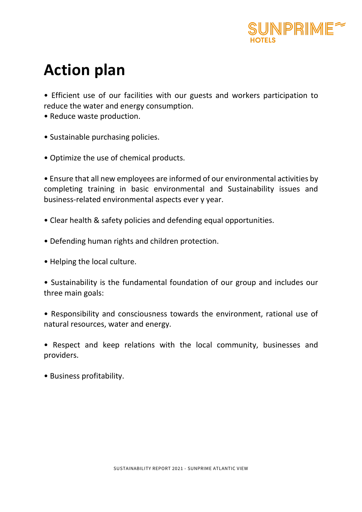

# **Action plan**

• Efficient use of our facilities with our guests and workers participation to reduce the water and energy consumption.

- Reduce waste production.
- Sustainable purchasing policies.
- Optimize the use of chemical products.

• Ensure that all new employees are informed of our environmental activities by completing training in basic environmental and Sustainability issues and business-related environmental aspects ever y year.

- Clear health & safety policies and defending equal opportunities.
- Defending human rights and children protection.
- Helping the local culture.

• Sustainability is the fundamental foundation of our group and includes our three main goals:

• Responsibility and consciousness towards the environment, rational use of natural resources, water and energy.

• Respect and keep relations with the local community, businesses and providers.

• Business profitability.